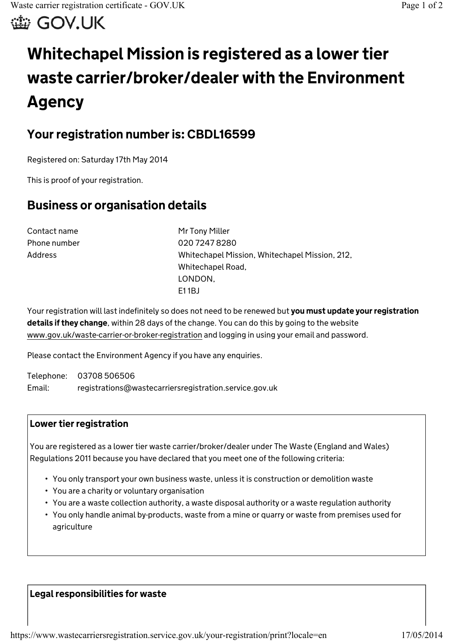滥 GOV.UK

# **Whitechapel Mission is registered as a lower tier waste carrier/broker/dealer with the Environment Agency**

## **Your registration number is: CBDL16599**

Registered on: Saturday 17th May 2014

This is proof of your registration.

## **Business or organisation details**

Contact name Mr Tony Miller

Phone number 020 7247 8280 Address Whitechapel Mission, Whitechapel Mission, 212, Whitechapel Road, LONDON, E1 1BJ

Your registration will last indefinitely so does not need to be renewed but **you must update your registration details if they change**, within 28 days of the change. You can do this by going to the website www.gov.uk/waste-carrier-or-broker-registration and logging in using your email and password.

Please contact the Environment Agency if you have any enquiries.

Telephone: 03708 506506 Email: registrations@wastecarriersregistration.service.gov.uk

### **Lower tier registration**

You are registered as a lower tier waste carrier/broker/dealer under The Waste (England and Wales) Regulations 2011 because you have declared that you meet one of the following criteria:

- You only transport your own business waste, unless it is construction or demolition waste
- You are a charity or voluntary organisation
- You are a waste collection authority, a waste disposal authority or a waste regulation authority
- You only handle animal by-products, waste from a mine or quarry or waste from premises used for agriculture

#### **Legal responsibilities for waste**

https://www.wastecarriersregistration.service.gov.uk/your-registration/print?locale=en 17/05/2014